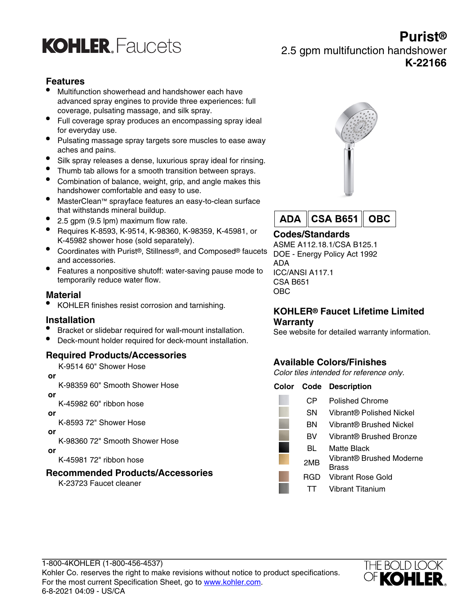

## **Purist®** 2.5 gpm multifunction handshower **K-22166**

### **Features**

- Multifunction showerhead and handshower each have advanced spray engines to provide three experiences: full coverage, pulsating massage, and silk spray.
- Full coverage spray produces an encompassing spray ideal for everyday use.
- Pulsating massage spray targets sore muscles to ease away aches and pains.
- Silk spray releases a dense, luxurious spray ideal for rinsing.
- Thumb tab allows for a smooth transition between sprays.
- Combination of balance, weight, grip, and angle makes this handshower comfortable and easy to use.
- MasterClean™ sprayface features an easy-to-clean surface that withstands mineral buildup.
- 2.5 gpm (9.5 lpm) maximum flow rate.
- Requires K-8593, K-9514, K-98360, K-98359, K-45981, or K-45982 shower hose (sold separately).
- Coordinates with Purist®, Stillness®, and Composed® faucets and accessories.
- Features a nonpositive shutoff: water-saving pause mode to temporarily reduce water flow.

#### **Material**

• KOHLER finishes resist corrosion and tarnishing.

#### **Installation**

- Bracket or slidebar required for wall-mount installation.
- Deck-mount holder required for deck-mount installation.

### **Required Products/Accessories**

K-9514 60" Shower Hose

#### **or**

K-98359 60" Smooth Shower Hose

 **or**

K-45982 60" ribbon hose

 **or**

K-8593 72" Shower Hose

 **or**

K-98360 72" Smooth Shower Hose

 **or**

K-45981 72" ribbon hose

#### **Recommended Products/Accessories**

K-23723 Faucet cleaner





## **Codes/Standards**

ASME A112.18.1/CSA B125.1 DOE - Energy Policy Act 1992 ADA ICC/ANSI A117.1 CSA B651 OBC

### **KOHLER® Faucet Lifetime Limited Warranty**

See website for detailed warranty information.

## **Available Colors/Finishes**

Color tiles intended for reference only.

| Color |     | <b>Code Description</b>                  |
|-------|-----|------------------------------------------|
|       | CР  | <b>Polished Chrome</b>                   |
|       | SΝ  | Vibrant® Polished Nickel                 |
|       | ΒN  | Vibrant® Brushed Nickel                  |
|       | BV  | Vibrant® Brushed Bronze                  |
|       | BL  | Matte Black                              |
|       | 2MB | Vibrant® Brushed Moderne<br><b>Brass</b> |
|       | RGD | Vibrant Rose Gold                        |
|       |     | Vibrant Titanium                         |
|       |     |                                          |